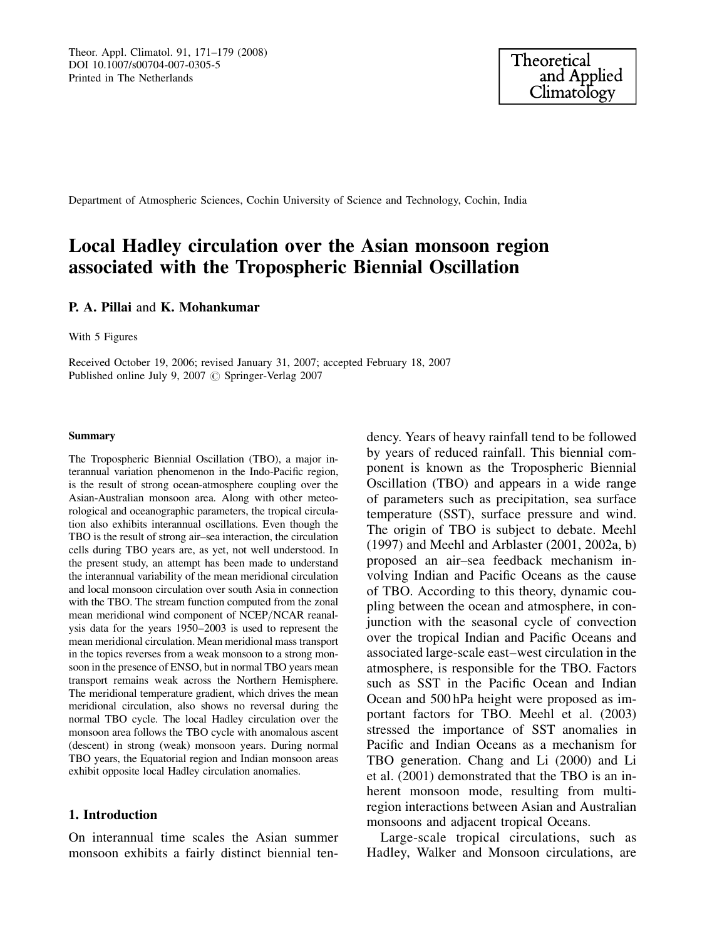

Department of Atmospheric Sciences, Cochin University of Science and Technology, Cochin, India

# Local Hadley circulation over the Asian monsoon region associated with the Tropospheric Biennial Oscillation

# P. A. Pillai and K. Mohankumar

With 5 Figures

Received October 19, 2006; revised January 31, 2007; accepted February 18, 2007 Published online July 9, 2007 © Springer-Verlag 2007

#### Summary

The Tropospheric Biennial Oscillation (TBO), a major interannual variation phenomenon in the Indo-Pacific region, is the result of strong ocean-atmosphere coupling over the Asian-Australian monsoon area. Along with other meteorological and oceanographic parameters, the tropical circulation also exhibits interannual oscillations. Even though the TBO is the result of strong air–sea interaction, the circulation cells during TBO years are, as yet, not well understood. In the present study, an attempt has been made to understand the interannual variability of the mean meridional circulation and local monsoon circulation over south Asia in connection with the TBO. The stream function computed from the zonal mean meridional wind component of NCEP/NCAR reanalysis data for the years 1950–2003 is used to represent the mean meridional circulation. Mean meridional mass transport in the topics reverses from a weak monsoon to a strong monsoon in the presence of ENSO, but in normal TBO years mean transport remains weak across the Northern Hemisphere. The meridional temperature gradient, which drives the mean meridional circulation, also shows no reversal during the normal TBO cycle. The local Hadley circulation over the monsoon area follows the TBO cycle with anomalous ascent (descent) in strong (weak) monsoon years. During normal TBO years, the Equatorial region and Indian monsoon areas exhibit opposite local Hadley circulation anomalies.

#### 1. Introduction

On interannual time scales the Asian summer monsoon exhibits a fairly distinct biennial tendency. Years of heavy rainfall tend to be followed by years of reduced rainfall. This biennial component is known as the Tropospheric Biennial Oscillation (TBO) and appears in a wide range of parameters such as precipitation, sea surface temperature (SST), surface pressure and wind. The origin of TBO is subject to debate. Meehl (1997) and Meehl and Arblaster (2001, 2002a, b) proposed an air–sea feedback mechanism involving Indian and Pacific Oceans as the cause of TBO. According to this theory, dynamic coupling between the ocean and atmosphere, in conjunction with the seasonal cycle of convection over the tropical Indian and Pacific Oceans and associated large-scale east–west circulation in the atmosphere, is responsible for the TBO. Factors such as SST in the Pacific Ocean and Indian Ocean and 500 hPa height were proposed as important factors for TBO. Meehl et al. (2003) stressed the importance of SST anomalies in Pacific and Indian Oceans as a mechanism for TBO generation. Chang and Li (2000) and Li et al. (2001) demonstrated that the TBO is an inherent monsoon mode, resulting from multiregion interactions between Asian and Australian monsoons and adjacent tropical Oceans.

Large-scale tropical circulations, such as Hadley, Walker and Monsoon circulations, are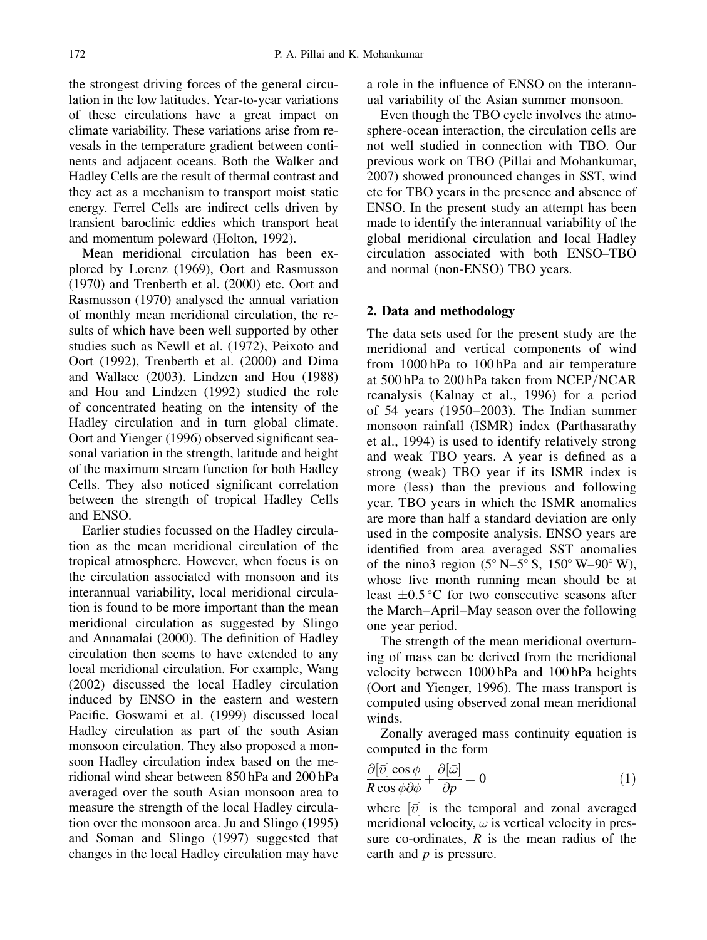the strongest driving forces of the general circulation in the low latitudes. Year-to-year variations of these circulations have a great impact on climate variability. These variations arise from revesals in the temperature gradient between continents and adjacent oceans. Both the Walker and Hadley Cells are the result of thermal contrast and they act as a mechanism to transport moist static energy. Ferrel Cells are indirect cells driven by transient baroclinic eddies which transport heat and momentum poleward (Holton, 1992).

Mean meridional circulation has been explored by Lorenz (1969), Oort and Rasmusson (1970) and Trenberth et al. (2000) etc. Oort and Rasmusson (1970) analysed the annual variation of monthly mean meridional circulation, the results of which have been well supported by other studies such as Newll et al. (1972), Peixoto and Oort (1992), Trenberth et al. (2000) and Dima and Wallace (2003). Lindzen and Hou (1988) and Hou and Lindzen (1992) studied the role of concentrated heating on the intensity of the Hadley circulation and in turn global climate. Oort and Yienger (1996) observed significant seasonal variation in the strength, latitude and height of the maximum stream function for both Hadley Cells. They also noticed significant correlation between the strength of tropical Hadley Cells and ENSO.

Earlier studies focussed on the Hadley circulation as the mean meridional circulation of the tropical atmosphere. However, when focus is on the circulation associated with monsoon and its interannual variability, local meridional circulation is found to be more important than the mean meridional circulation as suggested by Slingo and Annamalai (2000). The definition of Hadley circulation then seems to have extended to any local meridional circulation. For example, Wang (2002) discussed the local Hadley circulation induced by ENSO in the eastern and western Pacific. Goswami et al. (1999) discussed local Hadley circulation as part of the south Asian monsoon circulation. They also proposed a monsoon Hadley circulation index based on the meridional wind shear between 850 hPa and 200 hPa averaged over the south Asian monsoon area to measure the strength of the local Hadley circulation over the monsoon area. Ju and Slingo (1995) and Soman and Slingo (1997) suggested that changes in the local Hadley circulation may have

a role in the influence of ENSO on the interannual variability of the Asian summer monsoon.

Even though the TBO cycle involves the atmosphere-ocean interaction, the circulation cells are not well studied in connection with TBO. Our previous work on TBO (Pillai and Mohankumar, 2007) showed pronounced changes in SST, wind etc for TBO years in the presence and absence of ENSO. In the present study an attempt has been made to identify the interannual variability of the global meridional circulation and local Hadley circulation associated with both ENSO–TBO and normal (non-ENSO) TBO years.

## 2. Data and methodology

The data sets used for the present study are the meridional and vertical components of wind from 1000 hPa to 100 hPa and air temperature at  $500$  hPa to  $200$  hPa taken from NCEP/NCAR reanalysis (Kalnay et al., 1996) for a period of 54 years (1950–2003). The Indian summer monsoon rainfall (ISMR) index (Parthasarathy et al., 1994) is used to identify relatively strong and weak TBO years. A year is defined as a strong (weak) TBO year if its ISMR index is more (less) than the previous and following year. TBO years in which the ISMR anomalies are more than half a standard deviation are only used in the composite analysis. ENSO years are identified from area averaged SST anomalies of the nino3 region  $(5^{\circ} N - 5^{\circ} S, 150^{\circ} W - 90^{\circ} W)$ , whose five month running mean should be at least  $\pm 0.5$  °C for two consecutive seasons after the March–April–May season over the following one year period.

The strength of the mean meridional overturning of mass can be derived from the meridional velocity between 1000 hPa and 100 hPa heights (Oort and Yienger, 1996). The mass transport is computed using observed zonal mean meridional winds.

Zonally averaged mass continuity equation is computed in the form

$$
\frac{\partial[\bar{v}]\cos\phi}{R\cos\phi\partial\phi} + \frac{\partial[\bar{\omega}]}{\partial p} = 0\tag{1}
$$

where  $|\bar{v}|$  is the temporal and zonal averaged meridional velocity,  $\omega$  is vertical velocity in pressure co-ordinates,  $R$  is the mean radius of the earth and  $p$  is pressure.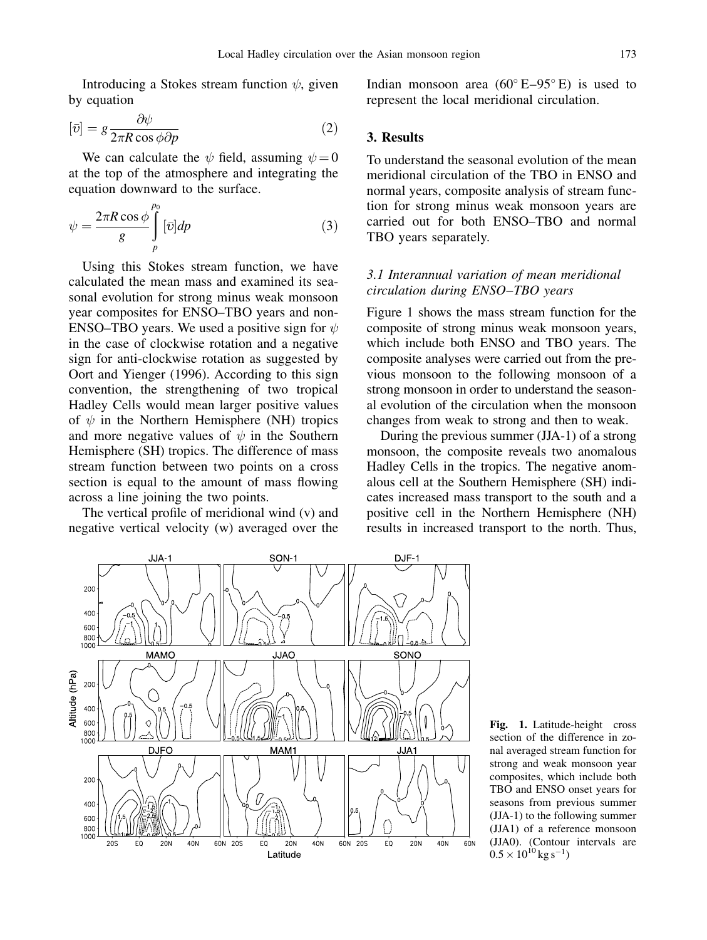Introducing a Stokes stream function  $\psi$ , given by equation

$$
[\bar{v}] = g \frac{\partial \psi}{2\pi R \cos \phi \partial p}
$$
 (2)

We can calculate the  $\psi$  field, assuming  $\psi = 0$ at the top of the atmosphere and integrating the equation downward to the surface.

$$
\psi = \frac{2\pi R \cos \phi}{g} \int\limits_{p}^{p_0} [\bar{v}] dp \tag{3}
$$

Using this Stokes stream function, we have calculated the mean mass and examined its seasonal evolution for strong minus weak monsoon year composites for ENSO–TBO years and non-ENSO–TBO years. We used a positive sign for  $\psi$ in the case of clockwise rotation and a negative sign for anti-clockwise rotation as suggested by Oort and Yienger (1996). According to this sign convention, the strengthening of two tropical Hadley Cells would mean larger positive values of  $\psi$  in the Northern Hemisphere (NH) tropics and more negative values of  $\psi$  in the Southern Hemisphere (SH) tropics. The difference of mass stream function between two points on a cross section is equal to the amount of mass flowing across a line joining the two points.

The vertical profile of meridional wind (v) and negative vertical velocity (w) averaged over the Indian monsoon area  $(60^{\circ} E - 95^{\circ} E)$  is used to represent the local meridional circulation.

#### 3. Results

To understand the seasonal evolution of the mean meridional circulation of the TBO in ENSO and normal years, composite analysis of stream function for strong minus weak monsoon years are carried out for both ENSO–TBO and normal TBO years separately.

## 3.1 Interannual variation of mean meridional circulation during ENSO–TBO years

Figure 1 shows the mass stream function for the composite of strong minus weak monsoon years, which include both ENSO and TBO years. The composite analyses were carried out from the previous monsoon to the following monsoon of a strong monsoon in order to understand the seasonal evolution of the circulation when the monsoon changes from weak to strong and then to weak.

During the previous summer (JJA-1) of a strong monsoon, the composite reveals two anomalous Hadley Cells in the tropics. The negative anomalous cell at the Southern Hemisphere (SH) indicates increased mass transport to the south and a positive cell in the Northern Hemisphere (NH) results in increased transport to the north. Thus,



Fig. 1. Latitude-height cross section of the difference in zonal averaged stream function for strong and weak monsoon year composites, which include both TBO and ENSO onset years for seasons from previous summer (JJA-1) to the following summer (JJA1) of a reference monsoon (JJA0). (Contour intervals are  $0.5 \times 10^{10}$  kg s<sup>-1</sup>)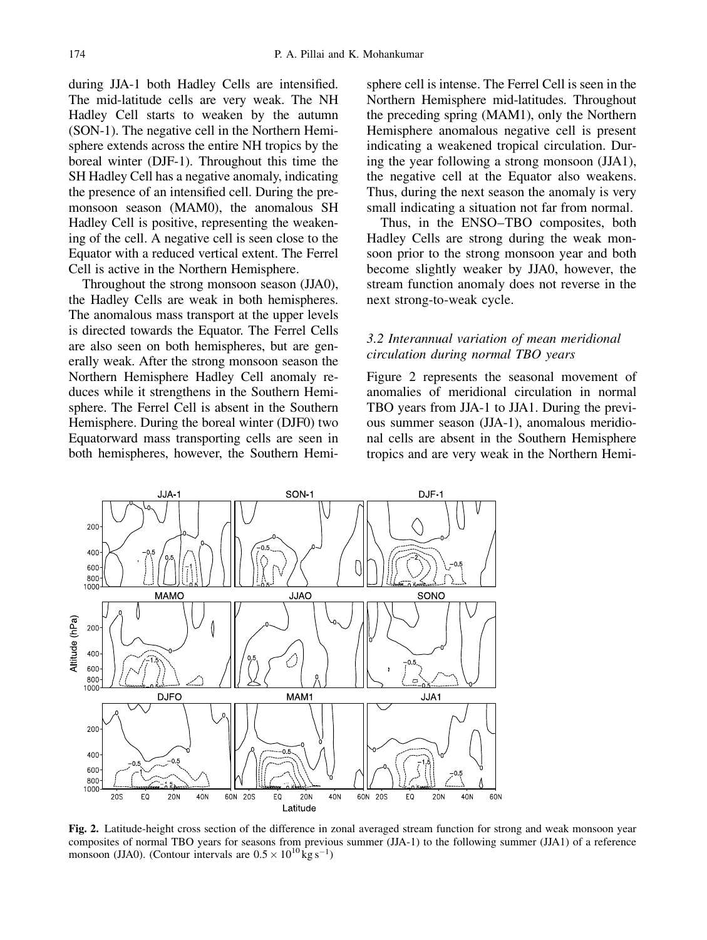during JJA-1 both Hadley Cells are intensified. The mid-latitude cells are very weak. The NH Hadley Cell starts to weaken by the autumn (SON-1). The negative cell in the Northern Hemisphere extends across the entire NH tropics by the boreal winter (DJF-1). Throughout this time the SH Hadley Cell has a negative anomaly, indicating the presence of an intensified cell. During the premonsoon season (MAM0), the anomalous SH Hadley Cell is positive, representing the weakening of the cell. A negative cell is seen close to the Equator with a reduced vertical extent. The Ferrel Cell is active in the Northern Hemisphere.

Throughout the strong monsoon season (JJA0), the Hadley Cells are weak in both hemispheres. The anomalous mass transport at the upper levels is directed towards the Equator. The Ferrel Cells are also seen on both hemispheres, but are generally weak. After the strong monsoon season the Northern Hemisphere Hadley Cell anomaly reduces while it strengthens in the Southern Hemisphere. The Ferrel Cell is absent in the Southern Hemisphere. During the boreal winter (DJF0) two Equatorward mass transporting cells are seen in both hemispheres, however, the Southern Hemisphere cell is intense. The Ferrel Cell is seen in the Northern Hemisphere mid-latitudes. Throughout the preceding spring (MAM1), only the Northern Hemisphere anomalous negative cell is present indicating a weakened tropical circulation. During the year following a strong monsoon (JJA1), the negative cell at the Equator also weakens. Thus, during the next season the anomaly is very small indicating a situation not far from normal.

Thus, in the ENSO–TBO composites, both Hadley Cells are strong during the weak monsoon prior to the strong monsoon year and both become slightly weaker by JJA0, however, the stream function anomaly does not reverse in the next strong-to-weak cycle.

# 3.2 Interannual variation of mean meridional circulation during normal TBO years

Figure 2 represents the seasonal movement of anomalies of meridional circulation in normal TBO years from JJA-1 to JJA1. During the previous summer season (JJA-1), anomalous meridional cells are absent in the Southern Hemisphere tropics and are very weak in the Northern Hemi-



Fig. 2. Latitude-height cross section of the difference in zonal averaged stream function for strong and weak monsoon year composites of normal TBO years for seasons from previous summer (JJA-1) to the following summer (JJA1) of a reference monsoon (JJA0). (Contour intervals are  $0.5 \times 10^{10}$  kg s<sup>-1</sup>)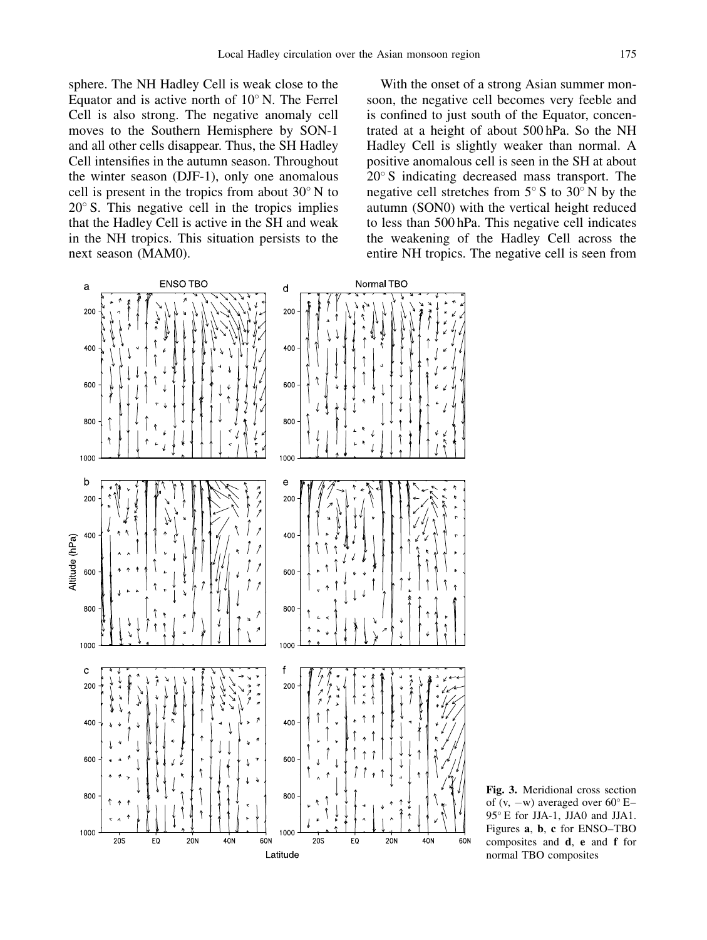sphere. The NH Hadley Cell is weak close to the Equator and is active north of  $10^{\circ}$  N. The Ferrel Cell is also strong. The negative anomaly cell moves to the Southern Hemisphere by SON-1 and all other cells disappear. Thus, the SH Hadley Cell intensifies in the autumn season. Throughout the winter season (DJF-1), only one anomalous cell is present in the tropics from about  $30^{\circ}$  N to  $20^{\circ}$  S. This negative cell in the tropics implies that the Hadley Cell is active in the SH and weak in the NH tropics. This situation persists to the next season (MAM0).

With the onset of a strong Asian summer monsoon, the negative cell becomes very feeble and is confined to just south of the Equator, concentrated at a height of about 500 hPa. So the NH Hadley Cell is slightly weaker than normal. A positive anomalous cell is seen in the SH at about  $20^{\circ}$  S indicating decreased mass transport. The negative cell stretches from  $5^{\circ}$  S to  $30^{\circ}$  N by the autumn (SON0) with the vertical height reduced to less than 500 hPa. This negative cell indicates the weakening of the Hadley Cell across the entire NH tropics. The negative cell is seen from



Fig. 3. Meridional cross section of (v, -w) averaged over  $60^{\circ}$  E-95° E for JJA-1, JJA0 and JJA1. Figures a, b, c for ENSO–TBO composites and d, e and f for normal TBO composites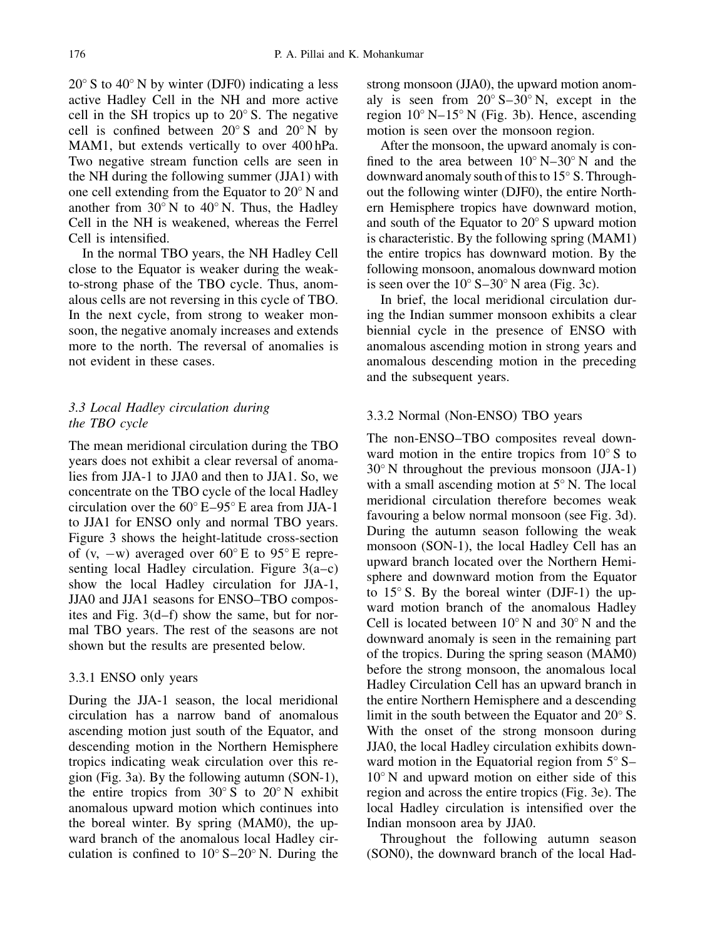$20^{\circ}$  S to 40° N by winter (DJF0) indicating a less active Hadley Cell in the NH and more active cell in the SH tropics up to  $20^{\circ}$  S. The negative cell is confined between  $20^{\circ}$  S and  $20^{\circ}$  N by MAM1, but extends vertically to over 400 hPa. Two negative stream function cells are seen in the NH during the following summer (JJA1) with one cell extending from the Equator to  $20^{\circ}$  N and another from  $30^{\circ}$  N to  $40^{\circ}$  N. Thus, the Hadley Cell in the NH is weakened, whereas the Ferrel Cell is intensified.

In the normal TBO years, the NH Hadley Cell close to the Equator is weaker during the weakto-strong phase of the TBO cycle. Thus, anomalous cells are not reversing in this cycle of TBO. In the next cycle, from strong to weaker monsoon, the negative anomaly increases and extends more to the north. The reversal of anomalies is not evident in these cases.

## 3.3 Local Hadley circulation during the TBO cycle

The mean meridional circulation during the TBO years does not exhibit a clear reversal of anomalies from JJA-1 to JJA0 and then to JJA1. So, we concentrate on the TBO cycle of the local Hadley circulation over the  $60^{\circ}$  E–95 $^{\circ}$  E area from JJA-1 to JJA1 for ENSO only and normal TBO years. Figure 3 shows the height-latitude cross-section of (v, -w) averaged over  $60^{\circ}$  E to  $95^{\circ}$  E representing local Hadley circulation. Figure 3(a–c) show the local Hadley circulation for JJA-1, JJA0 and JJA1 seasons for ENSO–TBO composites and Fig. 3(d–f) show the same, but for normal TBO years. The rest of the seasons are not shown but the results are presented below.

## 3.3.1 ENSO only years

During the JJA-1 season, the local meridional circulation has a narrow band of anomalous ascending motion just south of the Equator, and descending motion in the Northern Hemisphere tropics indicating weak circulation over this region (Fig. 3a). By the following autumn (SON-1), the entire tropics from  $30^{\circ}$  S to  $20^{\circ}$  N exhibit anomalous upward motion which continues into the boreal winter. By spring (MAM0), the upward branch of the anomalous local Hadley circulation is confined to  $10^{\circ}$  S–20° N. During the strong monsoon (JJA0), the upward motion anomaly is seen from  $20^{\circ}$  S–30° N, except in the region  $10^{\circ}$  N–15° N (Fig. 3b). Hence, ascending motion is seen over the monsoon region.

After the monsoon, the upward anomaly is confined to the area between  $10^{\circ}$  N–30° N and the downward anomaly south of this to  $15^{\circ}$  S. Throughout the following winter (DJF0), the entire Northern Hemisphere tropics have downward motion, and south of the Equator to  $20^{\circ}$  S upward motion is characteristic. By the following spring (MAM1) the entire tropics has downward motion. By the following monsoon, anomalous downward motion is seen over the  $10^{\circ}$  S-30° N area (Fig. 3c).

In brief, the local meridional circulation during the Indian summer monsoon exhibits a clear biennial cycle in the presence of ENSO with anomalous ascending motion in strong years and anomalous descending motion in the preceding and the subsequent years.

#### 3.3.2 Normal (Non-ENSO) TBO years

The non-ENSO–TBO composites reveal downward motion in the entire tropics from  $10^{\circ}$  S to  $30^\circ$  N throughout the previous monsoon (JJA-1) with a small ascending motion at  $5^\circ$  N. The local meridional circulation therefore becomes weak favouring a below normal monsoon (see Fig. 3d). During the autumn season following the weak monsoon (SON-1), the local Hadley Cell has an upward branch located over the Northern Hemisphere and downward motion from the Equator to  $15^{\circ}$  S. By the boreal winter (DJF-1) the upward motion branch of the anomalous Hadley Cell is located between  $10^{\circ}$  N and  $30^{\circ}$  N and the downward anomaly is seen in the remaining part of the tropics. During the spring season (MAM0) before the strong monsoon, the anomalous local Hadley Circulation Cell has an upward branch in the entire Northern Hemisphere and a descending limit in the south between the Equator and  $20^{\circ}$  S. With the onset of the strong monsoon during JJA0, the local Hadley circulation exhibits downward motion in the Equatorial region from  $5^{\circ}$  S–  $10^{\circ}$  N and upward motion on either side of this region and across the entire tropics (Fig. 3e). The local Hadley circulation is intensified over the Indian monsoon area by JJA0.

Throughout the following autumn season (SON0), the downward branch of the local Had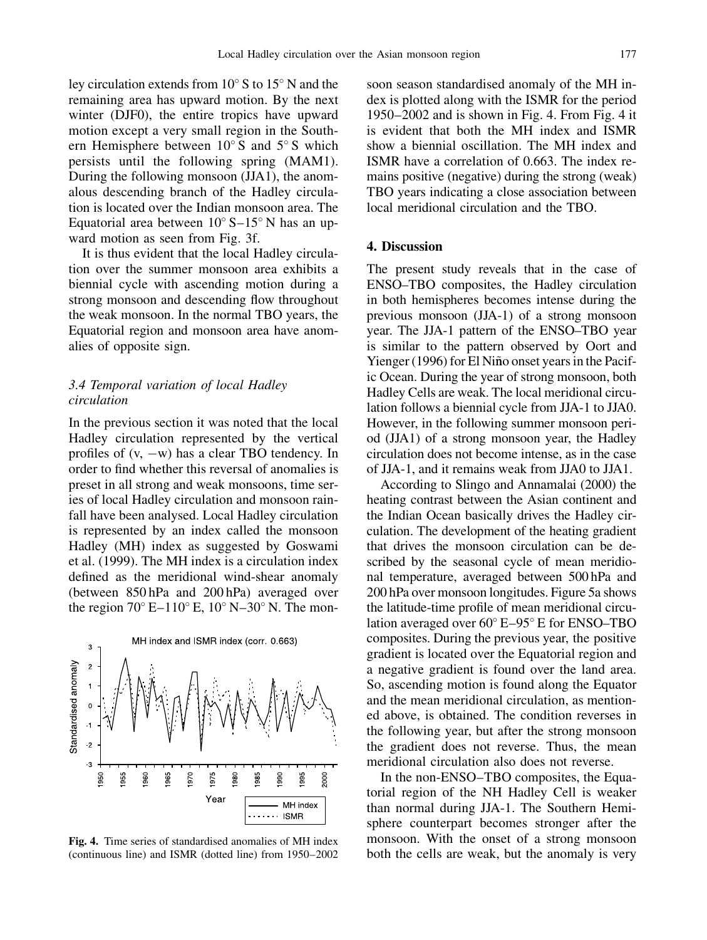ley circulation extends from  $10^{\circ}$  S to  $15^{\circ}$  N and the remaining area has upward motion. By the next winter (DJF0), the entire tropics have upward motion except a very small region in the Southern Hemisphere between  $10^{\circ}$  S and  $5^{\circ}$  S which persists until the following spring (MAM1). During the following monsoon (JJA1), the anomalous descending branch of the Hadley circulation is located over the Indian monsoon area. The Equatorial area between  $10^{\circ}$  S– $15^{\circ}$  N has an upward motion as seen from Fig. 3f.

It is thus evident that the local Hadley circulation over the summer monsoon area exhibits a biennial cycle with ascending motion during a strong monsoon and descending flow throughout the weak monsoon. In the normal TBO years, the Equatorial region and monsoon area have anomalies of opposite sign.

## 3.4 Temporal variation of local Hadley circulation

In the previous section it was noted that the local Hadley circulation represented by the vertical profiles of  $(v, -w)$  has a clear TBO tendency. In order to find whether this reversal of anomalies is preset in all strong and weak monsoons, time series of local Hadley circulation and monsoon rainfall have been analysed. Local Hadley circulation is represented by an index called the monsoon Hadley (MH) index as suggested by Goswami et al. (1999). The MH index is a circulation index defined as the meridional wind-shear anomaly (between 850 hPa and 200 hPa) averaged over the region  $70^{\circ}$  E–110 $^{\circ}$  E, 10 $^{\circ}$  N–30 $^{\circ}$  N. The mon-



Fig. 4. Time series of standardised anomalies of MH index (continuous line) and ISMR (dotted line) from 1950–2002

soon season standardised anomaly of the MH index is plotted along with the ISMR for the period 1950–2002 and is shown in Fig. 4. From Fig. 4 it is evident that both the MH index and ISMR show a biennial oscillation. The MH index and ISMR have a correlation of 0.663. The index remains positive (negative) during the strong (weak) TBO years indicating a close association between local meridional circulation and the TBO.

## 4. Discussion

The present study reveals that in the case of ENSO–TBO composites, the Hadley circulation in both hemispheres becomes intense during the previous monsoon (JJA-1) of a strong monsoon year. The JJA-1 pattern of the ENSO–TBO year is similar to the pattern observed by Oort and Yienger (1996) for El Niño onset years in the Pacific Ocean. During the year of strong monsoon, both Hadley Cells are weak. The local meridional circulation follows a biennial cycle from JJA-1 to JJA0. However, in the following summer monsoon period (JJA1) of a strong monsoon year, the Hadley circulation does not become intense, as in the case of JJA-1, and it remains weak from JJA0 to JJA1.

According to Slingo and Annamalai (2000) the heating contrast between the Asian continent and the Indian Ocean basically drives the Hadley circulation. The development of the heating gradient that drives the monsoon circulation can be described by the seasonal cycle of mean meridional temperature, averaged between 500 hPa and 200 hPa over monsoon longitudes. Figure 5a shows the latitude-time profile of mean meridional circulation averaged over  $60^{\circ}$  E–95 $^{\circ}$  E for ENSO–TBO composites. During the previous year, the positive gradient is located over the Equatorial region and a negative gradient is found over the land area. So, ascending motion is found along the Equator and the mean meridional circulation, as mentioned above, is obtained. The condition reverses in the following year, but after the strong monsoon the gradient does not reverse. Thus, the mean meridional circulation also does not reverse.

In the non-ENSO–TBO composites, the Equatorial region of the NH Hadley Cell is weaker than normal during JJA-1. The Southern Hemisphere counterpart becomes stronger after the monsoon. With the onset of a strong monsoon both the cells are weak, but the anomaly is very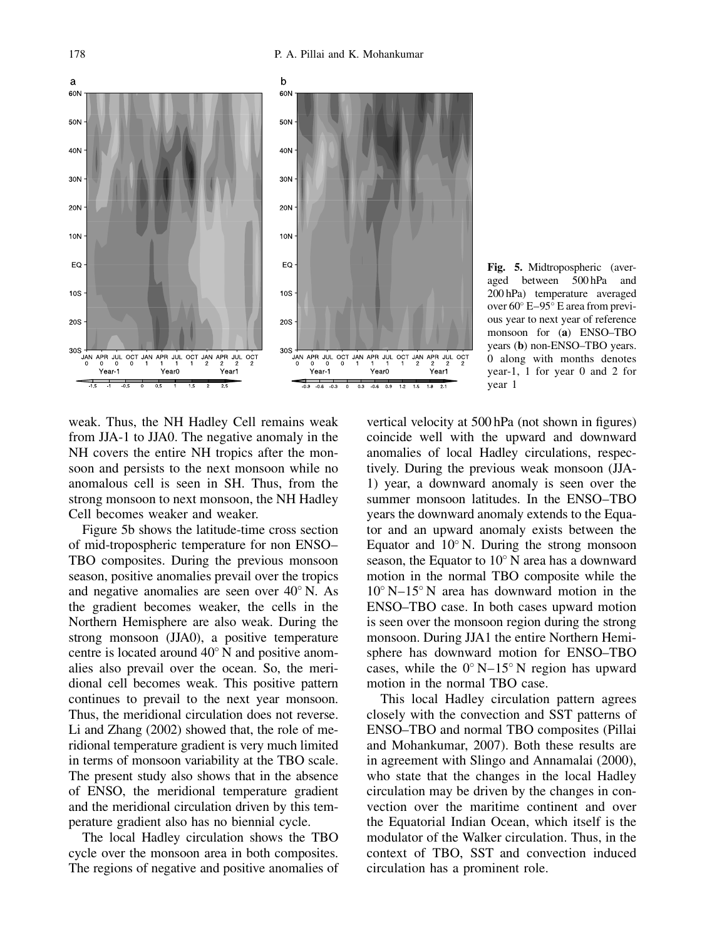

Fig. 5. Midtropospheric (averaged between 500 hPa and 200 hPa) temperature averaged over  $60^{\circ}$  E-95 $^{\circ}$  E area from previous year to next year of reference monsoon for (a) ENSO–TBO years (b) non-ENSO–TBO years. 0 along with months denotes year-1, 1 for year 0 and 2 for year 1

weak. Thus, the NH Hadley Cell remains weak from JJA-1 to JJA0. The negative anomaly in the NH covers the entire NH tropics after the monsoon and persists to the next monsoon while no anomalous cell is seen in SH. Thus, from the strong monsoon to next monsoon, the NH Hadley Cell becomes weaker and weaker.

Figure 5b shows the latitude-time cross section of mid-tropospheric temperature for non ENSO– TBO composites. During the previous monsoon season, positive anomalies prevail over the tropics and negative anomalies are seen over  $40^{\circ}$  N. As the gradient becomes weaker, the cells in the Northern Hemisphere are also weak. During the strong monsoon (JJA0), a positive temperature centre is located around  $40^{\circ}$  N and positive anomalies also prevail over the ocean. So, the meridional cell becomes weak. This positive pattern continues to prevail to the next year monsoon. Thus, the meridional circulation does not reverse. Li and Zhang (2002) showed that, the role of meridional temperature gradient is very much limited in terms of monsoon variability at the TBO scale. The present study also shows that in the absence of ENSO, the meridional temperature gradient and the meridional circulation driven by this temperature gradient also has no biennial cycle.

The local Hadley circulation shows the TBO cycle over the monsoon area in both composites. The regions of negative and positive anomalies of vertical velocity at 500 hPa (not shown in figures) coincide well with the upward and downward anomalies of local Hadley circulations, respectively. During the previous weak monsoon (JJA-1) year, a downward anomaly is seen over the summer monsoon latitudes. In the ENSO–TBO years the downward anomaly extends to the Equator and an upward anomaly exists between the Equator and  $10^{\circ}$  N. During the strong monsoon season, the Equator to  $10^{\circ}$  N area has a downward motion in the normal TBO composite while the  $10^{\circ}$  N–15° N area has downward motion in the ENSO–TBO case. In both cases upward motion is seen over the monsoon region during the strong monsoon. During JJA1 the entire Northern Hemisphere has downward motion for ENSO–TBO cases, while the  $0^{\circ}$  N–15° N region has upward motion in the normal TBO case.

This local Hadley circulation pattern agrees closely with the convection and SST patterns of ENSO–TBO and normal TBO composites (Pillai and Mohankumar, 2007). Both these results are in agreement with Slingo and Annamalai (2000), who state that the changes in the local Hadley circulation may be driven by the changes in convection over the maritime continent and over the Equatorial Indian Ocean, which itself is the modulator of the Walker circulation. Thus, in the context of TBO, SST and convection induced circulation has a prominent role.